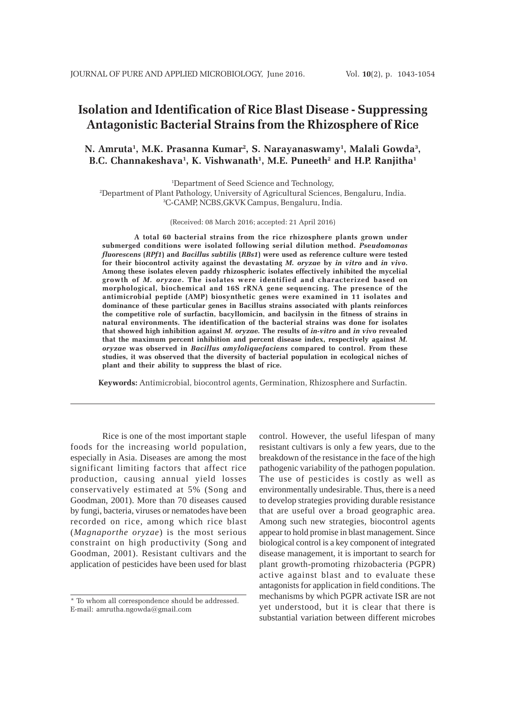# **Isolation and Identification of Rice Blast Disease - Suppressing Antagonistic Bacterial Strains from the Rhizosphere of Rice**

# **N. Amruta1 , M.K. Prasanna Kumar2 , S. Narayanaswamy1 , Malali Gowda3 ,** B.C. Channakeshava<sup>1</sup>, K. Vishwanath<sup>1</sup>, M.E. Puneeth<sup>2</sup> and H.P. Ranjitha<sup>1</sup>

1 Department of Seed Science and Technology, 2 Department of Plant Pathology, University of Agricultural Sciences, Bengaluru, India. 3 C-CAMP, NCBS,GKVK Campus, Bengaluru, India.

(Received: 08 March 2016; accepted: 21 April 2016)

**A total 60 bacterial strains from the rice rhizosphere plants grown under submerged conditions were isolated following serial dilution method.** *Pseudomonas fluorescens* **(***RPf1***) and** *Bacillus subtilis* **(***RBs1***) were used as reference culture were tested for their biocontrol activity against the devastating** *M. oryzae* **by** *in vitro* **and** *in vivo***. Among these isolates eleven paddy rhizospheric isolates effectively inhibited the mycelial growth of** *M. oryzae***. The isolates were identified and characterized based on morphological, biochemical and 16S rRNA gene sequencing. The presence of the antimicrobial peptide (AMP) biosynthetic genes were examined in 11 isolates and dominance of these particular genes in Bacillus strains associated with plants reinforces the competitive role of surfactin, bacyllomicin, and bacilysin in the fitness of strains in natural environments. The identification of the bacterial strains was done for isolates that showed high inhibition against** *M. oryzae.* **The results of** *in-vitro* **and** *in vivo* **revealed that the maximum percent inhibition and percent disease index, respectively against** *M. oryzae* **was observed in** *Bacillus amyloliquefaciens* **compared to control. From these studies, it was observed that the diversity of bacterial population in ecological niches of plant and their ability to suppress the blast of rice.**

**Keywords:** Antimicrobial, biocontrol agents, Germination, Rhizosphere and Surfactin.

Rice is one of the most important staple foods for the increasing world population, especially in Asia. Diseases are among the most significant limiting factors that affect rice production, causing annual yield losses conservatively estimated at 5% (Song and Goodman, 2001). More than 70 diseases caused by fungi, bacteria, viruses or nematodes have been recorded on rice, among which rice blast (*Magnaporthe oryzae*) is the most serious constraint on high productivity (Song and Goodman, 2001). Resistant cultivars and the application of pesticides have been used for blast

control. However, the useful lifespan of many resistant cultivars is only a few years, due to the breakdown of the resistance in the face of the high pathogenic variability of the pathogen population. The use of pesticides is costly as well as environmentally undesirable. Thus, there is a need to develop strategies providing durable resistance that are useful over a broad geographic area. Among such new strategies, biocontrol agents appear to hold promise in blast management. Since biological control is a key component of integrated disease management, it is important to search for plant growth-promoting rhizobacteria (PGPR) active against blast and to evaluate these antagonists for application in field conditions. The mechanisms by which PGPR activate ISR are not yet understood, but it is clear that there is substantial variation between different microbes

<sup>\*</sup> To whom all correspondence should be addressed. E-mail: amrutha.ngowda@gmail.com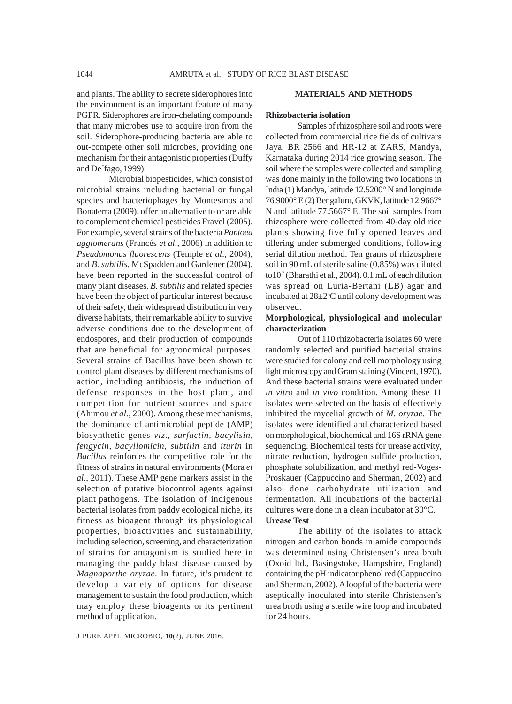and plants. The ability to secrete siderophores into the environment is an important feature of many PGPR. Siderophores are iron-chelating compounds that many microbes use to acquire iron from the soil. Siderophore-producing bacteria are able to out-compete other soil microbes, providing one mechanism for their antagonistic properties (Duffy and De´fago, 1999).

Microbial biopesticides, which consist of microbial strains including bacterial or fungal species and bacteriophages by Montesinos and Bonaterra (2009), offer an alternative to or are able to complement chemical pesticides Fravel (2005). For example, several strains of the bacteria *Pantoea agglomerans* (Francés *et al*., 2006) in addition to *Pseudomonas fluorescens* (Temple *et al*., 2004), and *B. subtilis,* McSpadden and Gardener (2004), have been reported in the successful control of many plant diseases. *B. subtilis* and related species have been the object of particular interest because of their safety, their widespread distribution in very diverse habitats, their remarkable ability to survive adverse conditions due to the development of endospores, and their production of compounds that are beneficial for agronomical purposes. Several strains of Bacillus have been shown to control plant diseases by different mechanisms of action, including antibiosis, the induction of defense responses in the host plant, and competition for nutrient sources and space (Ahimou *et al*., 2000). Among these mechanisms, the dominance of antimicrobial peptide (AMP) biosynthetic genes *viz*., *surfactin, bacylisin, fengycin, bacyllomicin, subtilin* and *iturin* in *Bacillus* reinforces the competitive role for the fitness of strains in natural environments (Mora *et al*., 2011). These AMP gene markers assist in the selection of putative biocontrol agents against plant pathogens. The isolation of indigenous bacterial isolates from paddy ecological niche, its fitness as bioagent through its physiological properties, bioactivities and sustainability, including selection, screening, and characterization of strains for antagonism is studied here in managing the paddy blast disease caused by *Magnaporthe oryzae*. In future, it's prudent to develop a variety of options for disease management to sustain the food production, which may employ these bioagents or its pertinent method of application.

#### **MATERIALS AND METHODS**

#### **Rhizobacteria isolation**

Samples of rhizosphere soil and roots were collected from commercial rice fields of cultivars Jaya, BR 2566 and HR-12 at ZARS, Mandya, Karnataka during 2014 rice growing season. The soil where the samples were collected and sampling was done mainly in the following two locations in India (1) Mandya, latitude 12.5200° N and longitude 76.9000° E (2) Bengaluru, GKVK, latitude 12.9667° N and latitude 77.5667° E. The soil samples from rhizosphere were collected from 40-day old rice plants showing five fully opened leaves and tillering under submerged conditions, following serial dilution method. Ten grams of rhizosphere soil in 90 mL of sterile saline (0.85%) was diluted to $10<sup>7</sup>$  (Bharathi et al., 2004). 0.1 mL of each dilution was spread on Luria-Bertani (LB) agar and incubated at  $28 \pm 2$ °C until colony development was observed.

#### **Morphological, physiological and molecular characterization**

Out of 110 rhizobacteria isolates 60 were randomly selected and purified bacterial strains were studied for colony and cell morphology using light microscopy and Gram staining (Vincent, 1970). And these bacterial strains were evaluated under *in vitro* and *in vivo* condition. Among these 11 isolates were selected on the basis of effectively inhibited the mycelial growth of *M. oryzae.* The isolates were identified and characterized based on morphological, biochemical and 16S rRNA gene sequencing. Biochemical tests for urease activity, nitrate reduction, hydrogen sulfide production, phosphate solubilization, and methyl red-Voges-Proskauer (Cappuccino and Sherman, 2002) and also done carbohydrate utilization and fermentation. All incubations of the bacterial cultures were done in a clean incubator at 30°C. **Urease Test**

The ability of the isolates to attack nitrogen and carbon bonds in amide compounds was determined using Christensen's urea broth (Oxoid ltd., Basingstoke, Hampshire, England) containing the pH indicator phenol red (Cappuccino and Sherman, 2002). A loopful of the bacteria were aseptically inoculated into sterile Christensen's urea broth using a sterile wire loop and incubated for 24 hours.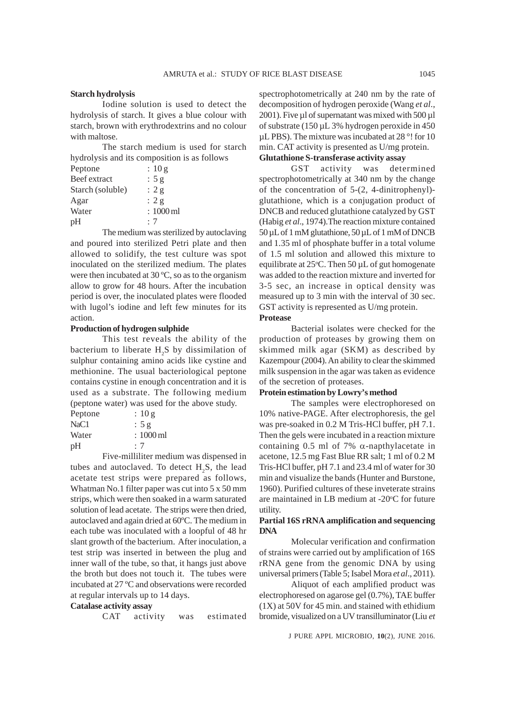#### **Starch hydrolysis**

Iodine solution is used to detect the hydrolysis of starch. It gives a blue colour with starch, brown with erythrodextrins and no colour with maltose.

The starch medium is used for starch hydrolysis and its composition is as follows

| Peptone          | : 10 g                |
|------------------|-----------------------|
| Beef extract     | : $5 g$               |
| Starch (soluble) | : $2 g$               |
| Agar             | : 2g                  |
| Water            | $:1000 \,\mathrm{ml}$ |
| pH               | :7                    |

The medium was sterilized by autoclaving and poured into sterilized Petri plate and then allowed to solidify, the test culture was spot inoculated on the sterilized medium. The plates were then incubated at 30 ºC, so as to the organism allow to grow for 48 hours. After the incubation period is over, the inoculated plates were flooded with lugol's iodine and left few minutes for its action.

#### **Production of hydrogen sulphide**

This test reveals the ability of the bacterium to liberate  $H_2S$  by dissimilation of sulphur containing amino acids like cystine and methionine. The usual bacteriological peptone contains cystine in enough concentration and it is used as a substrate. The following medium (peptone water) was used for the above study.

| Peptone          | : 10 g                |
|------------------|-----------------------|
| NaC <sub>1</sub> | : 5g                  |
| Water            | $:1000 \,\mathrm{ml}$ |
| pH               | : 7                   |

Five-milliliter medium was dispensed in tubes and autoclaved. To detect  $H_2S$ , the lead acetate test strips were prepared as follows, Whatman No.1 filter paper was cut into 5 x 50 mm strips, which were then soaked in a warm saturated solution of lead acetate. The strips were then dried, autoclaved and again dried at 60ºC. The medium in each tube was inoculated with a loopful of 48 hr slant growth of the bacterium. After inoculation, a test strip was inserted in between the plug and inner wall of the tube, so that, it hangs just above the broth but does not touch it. The tubes were incubated at 27 ºC and observations were recorded at regular intervals up to 14 days.

# **Catalase activity assay**

CAT activity was estimated

spectrophotometrically at 240 nm by the rate of decomposition of hydrogen peroxide (Wang *et al*., 2001). Five µl of supernatant was mixed with 500 µl of substrate (150 µL 3% hydrogen peroxide in 450 µL PBS). The mixture was incubated at 28 °! for 10 min. CAT activity is presented as U/mg protein. **Glutathione S-transferase activity assay**

GST activity was determined spectrophotometrically at 340 nm by the change of the concentration of 5-(2, 4-dinitrophenyl) glutathione, which is a conjugation product of DNCB and reduced glutathione catalyzed by GST (Habig *et al*., 1974).The reaction mixture contained 50 µL of 1 mM glutathione, 50 µL of 1 mM of DNCB and 1.35 ml of phosphate buffer in a total volume of 1.5 ml solution and allowed this mixture to equilibrate at  $25^{\circ}$ C. Then 50 µL of gut homogenate was added to the reaction mixture and inverted for 3-5 sec, an increase in optical density was measured up to 3 min with the interval of 30 sec. GST activity is represented as U/mg protein.

**Protease**

Bacterial isolates were checked for the production of proteases by growing them on skimmed milk agar (SKM) as described by Kazempour (2004). An ability to clear the skimmed milk suspension in the agar was taken as evidence of the secretion of proteases.

# **Protein estimation by Lowry's method**

The samples were electrophoresed on 10% native-PAGE. After electrophoresis, the gel was pre-soaked in 0.2 M Tris-HCl buffer, pH 7.1. Then the gels were incubated in a reaction mixture containing 0.5 ml of 7%  $\alpha$ -napthylacetate in acetone, 12.5 mg Fast Blue RR salt; 1 ml of 0.2 M Tris-HCl buffer, pH 7.1 and 23.4 ml of water for 30 min and visualize the bands (Hunter and Burstone, 1960). Purified cultures of these inveterate strains are maintained in LB medium at -20°C for future utility.

#### **Partial 16S rRNA amplification and sequencing DNA**

Molecular verification and confirmation of strains were carried out by amplification of 16S rRNA gene from the genomic DNA by using universal primers (Table 5; Isabel Mora *et al*., 2011).

Aliquot of each amplified product was electrophoresed on agarose gel (0.7%), TAE buffer (1X) at 50V for 45 min. and stained with ethidium bromide, visualized on a UV transilluminator (Liu *et*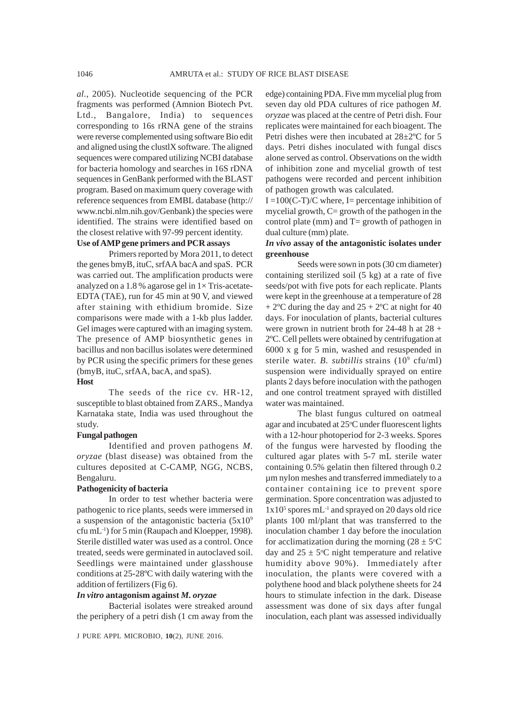*al.*, 2005). Nucleotide sequencing of the PCR fragments was performed (Amnion Biotech Pvt. Ltd., Bangalore, India) to sequences corresponding to 16s rRNA gene of the strains were reverse complemented using software Bio edit and aligned using the clustlX software. The aligned sequences were compared utilizing NCBI database for bacteria homology and searches in 16S rDNA sequences in GenBank performed with the BLAST program. Based on maximum query coverage with reference sequences from EMBL database (http:// www.ncbi.nlm.nih.gov/Genbank) the species were identified. The strains were identified based on the closest relative with 97-99 percent identity.

## **Use of AMP gene primers and PCR assays**

Primers reported by Mora 2011, to detect the genes bmyB, ituC, srfAA bacA and spaS. PCR was carried out. The amplification products were analyzed on a 1.8 % agarose gel in  $1 \times$  Tris-acetate-EDTA (TAE), run for 45 min at 90 V, and viewed after staining with ethidium bromide. Size comparisons were made with a 1-kb plus ladder. Gel images were captured with an imaging system. The presence of AMP biosynthetic genes in bacillus and non bacillus isolates were determined by PCR using the specific primers for these genes (bmyB, ituC, srfAA, bacA, and spaS).

#### **Host**

The seeds of the rice cv. HR-12, susceptible to blast obtained from ZARS., Mandya Karnataka state, India was used throughout the study.

#### **Fungal pathogen**

Identified and proven pathogens *M. oryzae* (blast disease) was obtained from the cultures deposited at C-CAMP, NGG, NCBS, Bengaluru.

#### **Pathogenicity of bacteria**

In order to test whether bacteria were pathogenic to rice plants, seeds were immersed in a suspension of the antagonistic bacteria  $(5x10^9)$ cfu mL-1) for 5 min (Raupach and Kloepper, 1998). Sterile distilled water was used as a control. Once treated, seeds were germinated in autoclaved soil. Seedlings were maintained under glasshouse conditions at 25-28ºC with daily watering with the addition of fertilizers (Fig 6).

#### *In vitro* **antagonism against** *M. oryzae*

Bacterial isolates were streaked around the periphery of a petri dish (1 cm away from the edge) containing PDA. Five mm mycelial plug from seven day old PDA cultures of rice pathogen *M. oryzae* was placed at the centre of Petri dish. Four replicates were maintained for each bioagent. The Petri dishes were then incubated at 28±2ºC for 5 days. Petri dishes inoculated with fungal discs alone served as control. Observations on the width of inhibition zone and mycelial growth of test pathogens were recorded and percent inhibition of pathogen growth was calculated.

 $I = 100(C-T)/C$  where, I= percentage inhibition of mycelial growth,  $C =$  growth of the pathogen in the control plate (mm) and  $T =$  growth of pathogen in dual culture (mm) plate.

#### *In vivo* **assay of the antagonistic isolates under greenhouse**

Seeds were sown in pots (30 cm diameter) containing sterilized soil (5 kg) at a rate of five seeds/pot with five pots for each replicate. Plants were kept in the greenhouse at a temperature of 28  $+ 2$ <sup>o</sup>C during the day and  $25 + 2$ <sup>o</sup>C at night for 40 days. For inoculation of plants, bacterial cultures were grown in nutrient broth for 24-48 h at 28 + 2ºC. Cell pellets were obtained by centrifugation at 6000 x g for 5 min, washed and resuspended in sterile water. *B. subtillis* strains (10<sup>9</sup> cfu/ml) suspension were individually sprayed on entire plants 2 days before inoculation with the pathogen and one control treatment sprayed with distilled water was maintained.

The blast fungus cultured on oatmeal agar and incubated at 25°C under fluorescent lights with a 12-hour photoperiod for 2-3 weeks. Spores of the fungus were harvested by flooding the cultured agar plates with 5-7 mL sterile water containing 0.5% gelatin then filtered through 0.2 µm nylon meshes and transferred immediately to a container containing ice to prevent spore germination. Spore concentration was adjusted to 1x10<sup>5</sup> spores mL<sup>-1</sup> and sprayed on 20 days old rice plants 100 ml/plant that was transferred to the inoculation chamber 1 day before the inoculation for acclimatization during the morning  $(28 \pm 5^{\circ}C)$ day and  $25 \pm 5^{\circ}$ C night temperature and relative humidity above 90%). Immediately after inoculation, the plants were covered with a polythene hood and black polythene sheets for 24 hours to stimulate infection in the dark. Disease assessment was done of six days after fungal inoculation, each plant was assessed individually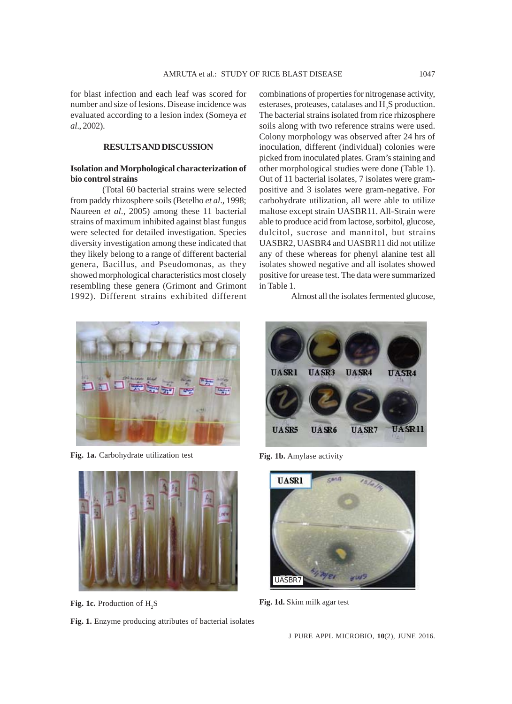for blast infection and each leaf was scored for number and size of lesions. Disease incidence was evaluated according to a lesion index (Someya *et al*., 2002).

# **RESULTS AND DISCUSSION**

#### **Isolation and Morphological characterization of bio control strains**

(Total 60 bacterial strains were selected from paddy rhizosphere soils (Betelho *et al*., 1998; Naureen *et al*., 2005) among these 11 bacterial strains of maximum inhibited against blast fungus were selected for detailed investigation. Species diversity investigation among these indicated that they likely belong to a range of different bacterial genera, Bacillus, and Pseudomonas, as they showed morphological characteristics most closely resembling these genera (Grimont and Grimont 1992). Different strains exhibited different combinations of properties for nitrogenase activity, esterases, proteases, catalases and  $H_2S$  production. The bacterial strains isolated from rice rhizosphere soils along with two reference strains were used. Colony morphology was observed after 24 hrs of inoculation, different (individual) colonies were picked from inoculated plates. Gram's staining and other morphological studies were done (Table 1). Out of 11 bacterial isolates*,* 7 isolates were grampositive and 3 isolates were gram-negative. For carbohydrate utilization, all were able to utilize maltose except strain UASBR11. All-Strain were able to produce acid from lactose, sorbitol, glucose, dulcitol, sucrose and mannitol, but strains UASBR2, UASBR4 and UASBR11 did not utilize any of these whereas for phenyl alanine test all isolates showed negative and all isolates showed positive for urease test. The data were summarized in Table 1.

Almost all the isolates fermented glucose,



Fig. 1a. Carbohydrate utilization test Fig. 1b. Amylase activity



Fig. 1c. Production of H<sub>2</sub>S

**Fig. 1.** Enzyme producing attributes of bacterial isolates





Fig. 1d. Skim milk agar test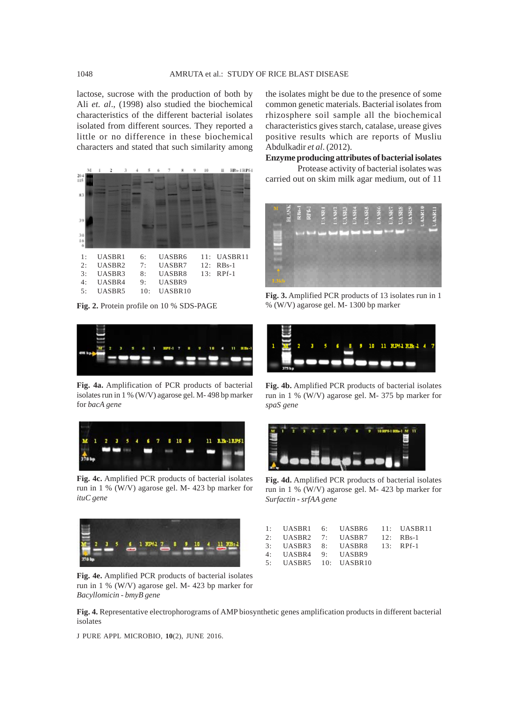lactose, sucrose with the production of both by Ali *et. al*., (1998) also studied the biochemical characteristics of the different bacterial isolates isolated from different sources. They reported a little or no difference in these biochemical characters and stated that such similarity among



**Fig. 2.** Protein profile on 10 % SDS-PAGE



**Fig. 4a.** Amplification of PCR products of bacterial isolates run in 1 % (W/V) agarose gel. M- 498 bp marker for *bacA gene*



**Fig. 4c.** Amplified PCR products of bacterial isolates run in 1 % (W/V) agarose gel. M- 423 bp marker for *ituC gene*



**Fig. 4e.** Amplified PCR products of bacterial isolates run in 1 % (W/V) agarose gel. M- 423 bp marker for *Bacyllomicin - bmyB gene*

the isolates might be due to the presence of some common genetic materials. Bacterial isolates from rhizosphere soil sample all the biochemical characteristics gives starch, catalase, urease gives positive results which are reports of Musliu Abdulkadir *et al*. (2012).

**Enzyme producing attributes of bacterial isolates**

Protease activity of bacterial isolates was carried out on skim milk agar medium, out of 11



**Fig. 3.** Amplified PCR products of 13 isolates run in 1 % (W/V) agarose gel. M- 1300 bp marker



**Fig. 4b.** Amplified PCR products of bacterial isolates run in 1 % (W/V) agarose gel. M- 375 bp marker for *spaS gene*



**Fig. 4d.** Amplified PCR products of bacterial isolates run in 1 % (W/V) agarose gel. M- 423 bp marker for *Surfactin - srfAA gene*

|                       | 1: UASBR1 6: UASBR6 11: UASBR11 |  |
|-----------------------|---------------------------------|--|
|                       | 2: UASBR2 7: UASBR7 12: RBs-1   |  |
|                       | 3: UASBR3 8: UASBR8 13: RPf-1   |  |
| 4: UASBR4 9: UASBR9   |                                 |  |
| 5: UASBR5 10: UASBR10 |                                 |  |

**Fig. 4.** Representative electrophorograms of AMP biosynthetic genes amplification products in different bacterial isolates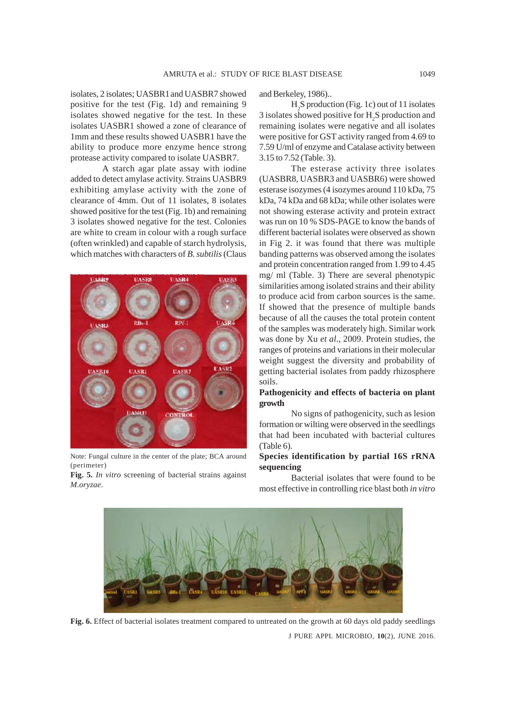isolates*,* 2 isolates; UASBR1and UASBR7 showed positive for the test (Fig. 1d) and remaining 9 isolates showed negative for the test. In these isolates UASBR1 showed a zone of clearance of 1mm and these results showed UASBR1 have the ability to produce more enzyme hence strong protease activity compared to isolate UASBR7.

A starch agar plate assay with iodine added to detect amylase activity. Strains UASBR9 exhibiting amylase activity with the zone of clearance of 4mm. Out of 11 isolates*,* 8 isolates showed positive for the test (Fig. 1b) and remaining 3 isolates showed negative for the test. Colonies are white to cream in colour with a rough surface (often wrinkled) and capable of starch hydrolysis, which matches with characters of *B. subtilis* (Claus



Note: Fungal culture in the center of the plate; BCA around (perimeter)

**Fig. 5.** *In vitro* screening of bacterial strains against *M.oryzae*.

and Berkeley, 1986)..

H2 S production (Fig. 1c) out of 11 isolates 3 isolates showed positive for  $H_2S$  production and remaining isolates were negative and all isolates were positive for GST activity ranged from 4.69 to 7.59 U/ml of enzyme and Catalase activity between 3.15 to 7.52 (Table. 3).

The esterase activity three isolates (UASBR8, UASBR3 and UASBR6) were showed esterase isozymes (4 isozymes around 110 kDa, 75 kDa, 74 kDa and 68 kDa; while other isolates were not showing esterase activity and protein extract was run on 10 % SDS-PAGE to know the bands of different bacterial isolates were observed as shown in Fig 2. it was found that there was multiple banding patterns was observed among the isolates and protein concentration ranged from 1.99 to 4.45 mg/ ml (Table. 3) There are several phenotypic similarities among isolated strains and their ability to produce acid from carbon sources is the same. If showed that the presence of multiple bands because of all the causes the total protein content of the samples was moderately high. Similar work was done by Xu *et al*., 2009. Protein studies, the ranges of proteins and variations in their molecular weight suggest the diversity and probability of getting bacterial isolates from paddy rhizosphere soils.

#### **Pathogenicity and effects of bacteria on plant growth**

No signs of pathogenicity, such as lesion formation or wilting were observed in the seedlings that had been incubated with bacterial cultures (Table 6).

#### **Species identification by partial 16S rRNA sequencing**

Bacterial isolates that were found to be most effective in controlling rice blast both *in vitro*



J PURE APPL MICROBIO*,* **10**(2), JUNE 2016. **Fig. 6.** Effect of bacterial isolates treatment compared to untreated on the growth at 60 days old paddy seedlings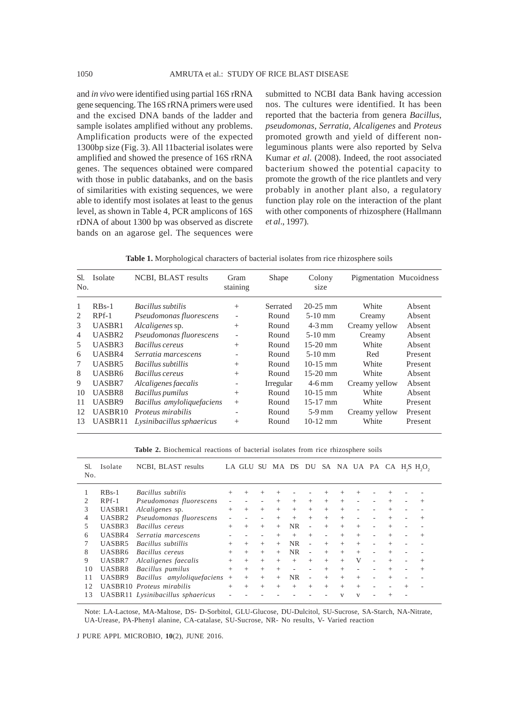and *in vivo* were identified using partial 16S rRNA gene sequencing. The 16S rRNA primers were used and the excised DNA bands of the ladder and sample isolates amplified without any problems. Amplification products were of the expected 1300bp size (Fig. 3). All 11bacterial isolates were amplified and showed the presence of 16S rRNA genes. The sequences obtained were compared with those in public databanks, and on the basis of similarities with existing sequences, we were able to identify most isolates at least to the genus level, as shown in Table 4, PCR amplicons of 16S rDNA of about 1300 bp was observed as discrete bands on an agarose gel. The sequences were

submitted to NCBI data Bank having accession nos. The cultures were identified. It has been reported that the bacteria from genera *Bacillus*, *pseudomonas*, *Serratia*, *Alcaligenes* and *Proteus* promoted growth and yield of different nonleguminous plants were also reported by Selva Kumar *et al*. (2008). Indeed, the root associated bacterium showed the potential capacity to promote the growth of the rice plantlets and very probably in another plant also, a regulatory function play role on the interaction of the plant with other components of rhizosphere (Hallmann *et al*., 1997).

| Table 1. Morphological characters of bacterial isolates from rice rhizosphere soils |  |  |  |  |
|-------------------------------------------------------------------------------------|--|--|--|--|
|-------------------------------------------------------------------------------------|--|--|--|--|

| SI.<br>No. | Isolate            | NCBI, BLAST results        | Gram<br>staining             | <b>Shape</b> | Colony<br>size | Pigmentation Mucoidness |         |
|------------|--------------------|----------------------------|------------------------------|--------------|----------------|-------------------------|---------|
| 1          | $RBs-1$            | Bacillus subtilis          | $^{+}$                       | Serrated     | $20-25$ mm     | White                   | Absent  |
| 2          | RPf-1              | Pseudomonas fluorescens    | $\overline{\phantom{a}}$     | Round        | $5-10$ mm      | Creamy                  | Absent  |
| 3          | UASBR1             | Alcaligenes sp.            | $^{+}$                       | Round        | $4-3$ mm       | Creamy yellow           | Absent  |
| 4          | UASBR <sub>2</sub> | Pseudomonas fluorescens    | $\qquad \qquad -$            | Round        | $5-10$ mm      | Creamy                  | Absent  |
| 5          | UASBR3             | Bacillus cereus            | $^{+}$                       | Round        | $15-20$ mm     | White                   | Absent  |
| 6          | UASBR4             | Serratia marcescens        | $\qquad \qquad \blacksquare$ | Round        | $5-10$ mm      | Red                     | Present |
| 7          | UASBR5             | Bacillus subtillis         | $^{+}$                       | Round        | $10-15$ mm     | White                   | Present |
| 8          | UASBR6             | Bacillus cereus            | $^{+}$                       | Round        | $15-20$ mm     | White                   | Absent  |
| 9          | UASBR7             | Alcaligenes faecalis       | $\qquad \qquad -$            | Irregular    | $4-6$ mm       | Creamy yellow           | Absent  |
| 10         | UASBR8             | Bacillus pumilus           | $^{+}$                       | Round        | $10-15$ mm     | White                   | Absent  |
| 11         | UASBR9             | Bacillus amyloliquefaciens | $^{+}$                       | Round        | $15-17$ mm     | White                   | Present |
| 12         | UASBR10            | Proteus mirabilis          | $\qquad \qquad -$            | Round        | $5-9$ mm       | Creamy yellow           | Present |
| 13         | UASBR11            | Lysinibacillus sphaericus  | $^{+}$                       | Round        | $10-12$ mm     | White                   | Present |

**Table 2.** Biochemical reactions of bacterial isolates from rice rhizosphere soils

| Sl.<br>No. | Isolate            | NCBI, BLAST results               |        | LA GLU SU |        | MA DS  |           | DU     |        |                |        |        | SA NA UA PA CA H <sub>2</sub> S H <sub>2</sub> O <sub>2</sub> |
|------------|--------------------|-----------------------------------|--------|-----------|--------|--------|-----------|--------|--------|----------------|--------|--------|---------------------------------------------------------------|
|            | $RBs-1$            | Bacillus subtilis                 | $^{+}$ | $^{+}$    |        | $^+$   |           |        |        | $\overline{+}$ |        |        |                                                               |
|            | $RPf-1$            | Pseudomonas fluorescens           |        |           |        | $^{+}$ | $+$       | $+$    | $^{+}$ | $+$            |        | $^{+}$ | $^{+}$                                                        |
| 3          | UASBR1             | Alcaligenes sp.                   | $+$    | $^{+}$    | $^{+}$ | $+$    | $+$       | $+$    | $^{+}$ | $+$            |        | $^{+}$ |                                                               |
| 4          | UASBR <sub>2</sub> | Pseudomonas fluorescens           |        |           |        | $^{+}$ | $^{+}$    | $^{+}$ | $^{+}$ | $^{+}$         |        | $^{+}$ | $^{+}$                                                        |
| 5.         | UASBR3             | Bacillus cereus                   | $^{+}$ | $^{+}$    | $+$    | $+$    | <b>NR</b> |        | $+$    | $+$            | $+$    | $^{+}$ |                                                               |
| 6          | UASBR4             | Serratia marcescens               |        |           |        | $^{+}$ | $+$       | $^{+}$ |        | $^{+}$         | $^{+}$ | $^{+}$ | $^{+}$                                                        |
|            | UASBR5             | Bacillus subtillis                | $^{+}$ | $^{+}$    | $+$    | $+$    | <b>NR</b> |        | $+$    | $+$            | $+$    | $^{+}$ |                                                               |
| 8          | UASBR6             | Bacillus cereus                   | $+$    | $^{+}$    | $+$    | $+$    | <b>NR</b> | ٠      | $^{+}$ | $+$            | $^{+}$ | $^{+}$ |                                                               |
| 9          | UASBR7             | Alcaligenes faecalis              | $+$    | $+$       | $+$    | $+$    | $+$       | $+$    | $+$    | $^{+}$         | V      | $^{+}$ | $^+$                                                          |
| 10         | UASBR8             | Bacillus pumilus                  | $+$    | $+$       | $^{+}$ | $^{+}$ | -         |        | $^{+}$ | $^{+}$         |        | $+$    | $^{+}$                                                        |
| 11         | UASBR9             | Bacillus amyloliquefaciens        | $^{+}$ | $^{+}$    | $+$    | $+$    | <b>NR</b> |        | $^{+}$ | $^{+}$         | $+$    | $^{+}$ |                                                               |
| 12         |                    | UASBR10 Proteus mirabilis         | $+$    | $^{+}$    | $^{+}$ | $+$    | $+$       | $^{+}$ | $+$    | $^{+}$         | $+$    |        |                                                               |
| 13         |                    | UASBR11 Lysinibacillus sphaericus |        |           |        |        |           |        |        | V              | V      | $^{+}$ |                                                               |

Note: LA-Lactose, MA-Maltose, DS- D-Sorbitol, GLU-Glucose, DU-Dulcitol, SU-Sucrose, SA-Starch, NA-Nitrate, UA-Urease, PA-Phenyl alanine, CA-catalase, SU-Sucrose, NR- No results, V- Varied reaction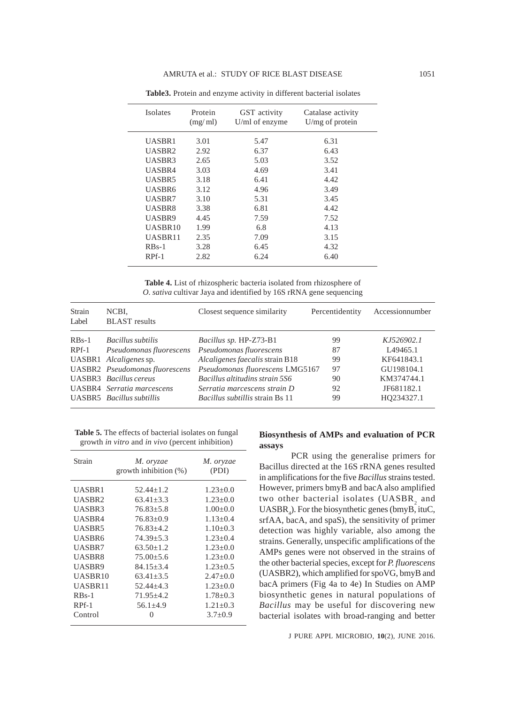| Protein<br>(mg/ml) | GST activity<br>U/ml of enzyme | Catalase activity<br>U/mg of protein |
|--------------------|--------------------------------|--------------------------------------|
| 3.01               | 5.47                           | 6.31                                 |
| 2.92               | 6.37                           | 6.43                                 |
| 2.65               | 5.03                           | 3.52                                 |
| 3.03               | 4.69                           | 3.41                                 |
| 3.18               | 6.41                           | 4.42                                 |
| 3.12               | 4.96                           | 3.49                                 |
| 3.10               | 5.31                           | 3.45                                 |
| 3.38               | 6.81                           | 4.42                                 |
| 4.45               | 7.59                           | 7.52                                 |
| 1.99               | 6.8                            | 4.13                                 |
| 2.35               | 7.09                           | 3.15                                 |
| 3.28               | 6.45                           | 4.32                                 |
| 2.82               | 6.24                           | 6.40                                 |
|                    |                                |                                      |

**Table3.** Protein and enzyme activity in different bacterial isolates

**Table 4.** List of rhizospheric bacteria isolated from rhizosphere of *O. sativa* cultivar Jaya and identified by 16S rRNA gene sequencing

| Strain<br>Label | NCBI,<br><b>BLAST</b> results         | Closest sequence similarity            | Percentidentity | Accessionnumber |
|-----------------|---------------------------------------|----------------------------------------|-----------------|-----------------|
| $RBs-1$         | Bacillus subtilis                     | Bacillus sp. HP-Z73-B1                 | 99              | KJ526902.1      |
| $RPf-1$         | Pseudomonas fluorescens               | Pseudomonas fluorescens                | 87              | L49465.1        |
|                 | UASBR1 Alcaligenes sp.                | Alcaligenes faecalis strain B18        | 99              | KF641843.1      |
|                 | <b>UASBR2</b> Pseudomonas fluorescens | Pseudomonas fluorescens LMG5167        | 97              | GU198104.1      |
|                 | <b>UASBR3</b> Bacillus cereus         | Bacillus altitudins strain 5S6         | 90              | KM374744.1      |
|                 | <b>UASBR4</b> Serratia marcescens     | Serratia marcescens strain D           | 92              | JF681182.1      |
|                 | UASBR5 Bacillus subtillis             | <i>Bacillus subtillis strain Bs 11</i> | 99              | HO234327.1      |

**Table 5.** The effects of bacterial isolates on fungal growth *in vitro* and *in vivo* (percent inhibition)

| Strain        | M. oryzae<br>growth inhibition $(\%)$ | M. oryzae<br>(PDI) |
|---------------|---------------------------------------|--------------------|
| UASBR1        | $52.44 + 1.2$                         | $1.23 \pm 0.0$     |
| UASBR2        | $63.41 + 3.3$                         | $1.23 + 0.0$       |
| UASBR3        | $76.83 + 5.8$                         | $1.00+0.0$         |
| UASBR4        | $76.83+0.9$                           | $1.13 + 0.4$       |
| UASBR5        | $76.83 + 4.2$                         | $1.10+0.3$         |
| <b>UASBR6</b> | $74.39 + 5.3$                         | $1.23 + 0.4$       |
| UASBR7        | $63.50 + 1.2$                         | $1.23 + 0.0$       |
| UASBR8        | $75.00 + 5.6$                         | $1.23 + 0.0$       |
| UASBR9        | $84.15 + 3.4$                         | $1.23 + 0.5$       |
| UASBR10       | $63.41 + 3.5$                         | $2.47+0.0$         |
| UASBR11       | $52.44 + 4.3$                         | $1.23 \pm 0.0$     |
| $RBs-1$       | $71.95 \pm 4.2$                       | $1.78 \pm 0.3$     |
| RPf-1         | $56.1 + 4.9$                          | $1.21 + 0.3$       |
| Control       | $\mathbf{\Omega}$                     | $3.7 \pm 0.9$      |

# **Biosynthesis of AMPs and evaluation of PCR assays**

PCR using the generalise primers for Bacillus directed at the 16S rRNA genes resulted in amplifications for the five *Bacillus* strains tested. However, primers bmyB and bacA also amplified two other bacterial isolates (UASBR<sub>2</sub> and  $UASBR<sub>4</sub>$ ). For the biosynthetic genes (bmyB, ituC, srfAA, bacA, and spaS), the sensitivity of primer detection was highly variable, also among the strains. Generally, unspecific amplifications of the AMPs genes were not observed in the strains of the other bacterial species, except for *P. fluorescens* (UASBR2), which amplified for spoVG, bmyB and bacA primers (Fig 4a to 4e) In Studies on AMP biosynthetic genes in natural populations of *Bacillus* may be useful for discovering new bacterial isolates with broad-ranging and better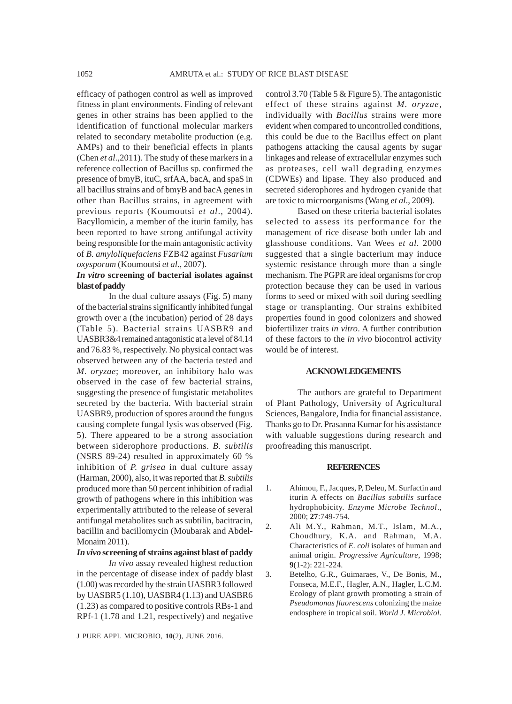efficacy of pathogen control as well as improved fitness in plant environments. Finding of relevant genes in other strains has been applied to the identification of functional molecular markers related to secondary metabolite production (e.g. AMPs) and to their beneficial effects in plants (Chen *et al*.,2011). The study of these markers in a reference collection of Bacillus sp. confirmed the presence of bmyB, ituC, srfAA, bacA, and spaS in all bacillus strains and of bmyB and bacA genes in other than Bacillus strains, in agreement with previous reports (Koumoutsi *et al*., 2004). Bacyllomicin, a member of the iturin family, has been reported to have strong antifungal activity being responsible for the main antagonistic activity of *B. amyloliquefaciens* FZB42 against *Fusarium oxysporum* (Koumoutsi *et al*., 2007).

# *In vitro* **screening of bacterial isolates against blast of paddy**

In the dual culture assays (Fig. 5) many of the bacterial strains significantly inhibited fungal growth over a (the incubation) period of 28 days (Table 5). Bacterial strains UASBR9 and UASBR3&4 remained antagonistic at a level of 84.14 and 76.83 %, respectively. No physical contact was observed between any of the bacteria tested and *M. oryzae*; moreover, an inhibitory halo was observed in the case of few bacterial strains, suggesting the presence of fungistatic metabolites secreted by the bacteria. With bacterial strain UASBR9, production of spores around the fungus causing complete fungal lysis was observed (Fig. 5). There appeared to be a strong association between siderophore productions. *B. subtilis* (NSRS 89-24) resulted in approximately 60 % inhibition of *P. grisea* in dual culture assay (Harman, 2000), also, it was reported that *B. subtilis* produced more than 50 percent inhibition of radial growth of pathogens where in this inhibition was experimentally attributed to the release of several antifungal metabolites such as subtilin, bacitracin, bacillin and bacillomycin (Moubarak and Abdel-Monaim 2011).

# *In vivo* **screening of strains against blast of paddy**

*In vivo* assay revealed highest reduction in the percentage of disease index of paddy blast (1.00) was recorded by the strain UASBR3 followed by UASBR5 (1.10), UASBR4 (1.13) and UASBR6 (1.23) as compared to positive controls RBs-1 and RPf-1 (1.78 and 1.21, respectively) and negative

J PURE APPL MICROBIO*,* **10**(2), JUNE 2016.

control 3.70 (Table 5 & Figure 5). The antagonistic effect of these strains against *M. oryzae*, individually with *Bacillus* strains were more evident when compared to uncontrolled conditions, this could be due to the Bacillus effect on plant pathogens attacking the causal agents by sugar linkages and release of extracellular enzymes such as proteases, cell wall degrading enzymes (CDWEs) and lipase. They also produced and secreted siderophores and hydrogen cyanide that are toxic to microorganisms (Wang *et al*., 2009).

Based on these criteria bacterial isolates selected to assess its performance for the management of rice disease both under lab and glasshouse conditions. Van Wees *et al*. 2000 suggested that a single bacterium may induce systemic resistance through more than a single mechanism. The PGPR are ideal organisms for crop protection because they can be used in various forms to seed or mixed with soil during seedling stage or transplanting. Our strains exhibited properties found in good colonizers and showed biofertilizer traits *in vitro*. A further contribution of these factors to the *in vivo* biocontrol activity would be of interest.

#### **ACKNOWLEDGEMENTS**

The authors are grateful to Department of Plant Pathology, University of Agricultural Sciences, Bangalore, India for financial assistance. Thanks go to Dr. Prasanna Kumar for his assistance with valuable suggestions during research and proofreading this manuscript.

#### **REFERENCES**

- 1. Ahimou, F., Jacques, P, Deleu, M. Surfactin and iturin A effects on *Bacillus subtilis* surface hydrophobicity. *Enzyme Microbe Technol*., 2000; **27**:749-754.
- 2. Ali M.Y., Rahman, M.T., Islam, M.A., Choudhury, K.A. and Rahman, M.A. Characteristics of *E. coli* isolates of human and animal origin. *Progressive Agriculture*, 1998; **9**(1-2): 221-224.
- 3. Betelho, G.R., Guimaraes, V., De Bonis, M., Fonseca, M.E.F., Hagler, A.N., Hagler, L.C.M. Ecology of plant growth promoting a strain of *Pseudomonas fluorescens* colonizing the maize endosphere in tropical soil. *World J. Microbiol.*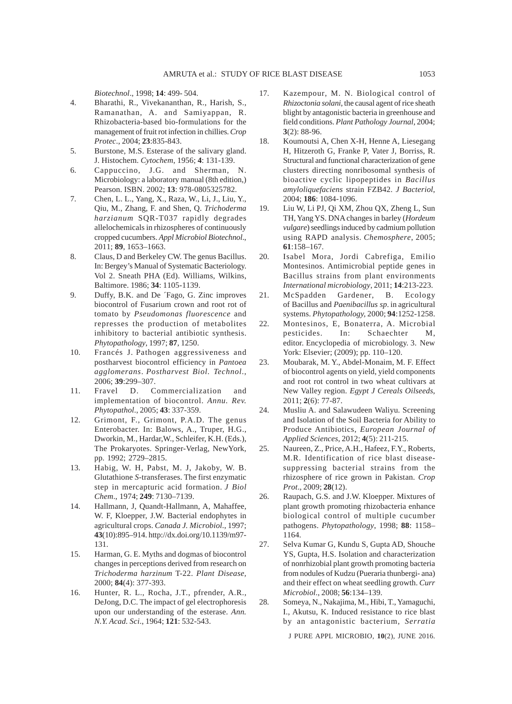*Biotechnol*., 1998; **14**: 499- 504.

- 4. Bharathi, R., Vivekananthan, R., Harish, S., Ramanathan, A. and Samiyappan, R. Rhizobacteria-based bio-formulations for the management of fruit rot infection in chillies. *Crop Protec*., 2004; **23**:835-843.
- 5. Burstone, M.S. Esterase of the salivary gland. J. Histochem. *Cytochem*, 1956; **4**: 131-139.
- 6. Cappuccino, J.G. and Sherman, N. Microbiology: a laboratory manual (8th edition,) Pearson. ISBN. 2002; **13**: 978-0805325782.
- 7. Chen, L. L., Yang, X., Raza, W., Li, J., Liu, Y., Qiu, M., Zhang, F. and Shen, Q. *Trichoderma harzianum* SQR-T037 rapidly degrades allelochemicals in rhizospheres of continuously cropped cucumbers. *Appl Microbiol Biotechnol*., 2011; **89**, 1653–1663.
- 8. Claus, D and Berkeley CW. The genus Bacillus. In: Bergey's Manual of Systematic Bacteriology. Vol 2. Sneath PHA (Ed). Williams, Wilkins, Baltimore. 1986; **34**: 1105-1139.
- 9. Duffy, B.K. and De ´Fago, G. Zinc improves biocontrol of Fusarium crown and root rot of tomato by *Pseudomonas fluorescence* and represses the production of metabolites inhibitory to bacterial antibiotic synthesis. *Phytopathology*, 1997; **87**, 1250.
- 10. Francés J. Pathogen aggressiveness and postharvest biocontrol efficiency in *Pantoea agglomerans*. *Postharvest Biol. Technol*., 2006; **39**:299–307.
- 11. Fravel D. Commercialization and implementation of biocontrol. *Annu. Rev. Phytopathol*., 2005; **43**: 337-359.
- 12. Grimont, F., Grimont, P.A.D. The genus Enterobacter. In: Balows, A., Truper, H.G., Dworkin, M., Hardar,W., Schleifer, K.H. (Eds.), The Prokaryotes. Springer-Verlag, NewYork, pp. 1992; 2729–2815.
- 13. Habig, W. H, Pabst, M. J, Jakoby, W. B. Glutathione *S*-transferases. The first enzymatic step in mercapturic acid formation. *J Biol Chem*., 1974; **249**: 7130–7139.
- 14. Hallmann, J, Quandt-Hallmann, A, Mahaffee, W. F, Kloepper, J.W. Bacterial endophytes in agricultural crops. *Canada J. Microbiol*., 1997; **43**(10):895–914. http://dx.doi.org/10.1139/m97- 131.
- 15. Harman, G. E. Myths and dogmas of biocontrol changes in perceptions derived from research on *Trichoderma harzinum* T-22. *Plant Disease,* 2000; **84**(4): 377-393.
- 16. Hunter, R. L., Rocha, J.T., pfrender, A.R., DeJong, D.C. The impact of gel electrophoresis upon our understanding of the esterase. *Ann. N.Y. Acad. Sci*., 1964; **121**: 532-543.
- 17. Kazempour, M. N. Biological control of *Rhizoctonia solani*, the causal agent of rice sheath blight by antagonistic bacteria in greenhouse and field conditions. *Plant Pathology Journal*, 2004; **3**(2): 88-96.
- 18. Koumoutsi A, Chen X-H, Henne A, Liesegang H, Hitzeroth G, Franke P, Vater J, Borriss, R. Structural and functional characterization of gene clusters directing nonribosomal synthesis of bioactive cyclic lipopeptides in *Bacillus amyloliquefaciens* strain FZB42. *J Bacteriol*, 2004; **186**: 1084-1096.
- 19. Liu W, Li PJ, Qi XM, Zhou QX, Zheng L, Sun TH, Yang YS. DNA changes in barley (*Hordeum vulgare*) seedlings induced by cadmium pollution using RAPD analysis. *Chemosphere*, 2005; **61**:158–167.
- 20. Isabel Mora, Jordi Cabrefiga, Emilio Montesinos. Antimicrobial peptide genes in Bacillus strains from plant environments *International microbiology*, 2011; **14**:213-223.
- 21. McSpadden Gardener, B. Ecology of Bacillus and *Paenibacillus sp*. in agricultural systems. *Phytopathology,* 2000; **94**:1252-1258.
- 22. Montesinos, E, Bonaterra, A. Microbial pesticides. In: Schaechter M, editor. Encyclopedia of microbiology. 3. New York: Elsevier; (2009); pp. 110–120.
- 23. Moubarak, M. Y., Abdel-Monaim, M. F. Effect of biocontrol agents on yield, yield components and root rot control in two wheat cultivars at New Valley region. *Egypt J Cereals Oilseeds*, 2011; **2**(6): 77-87.
- 24. Musliu A. and Salawudeen Waliyu. Screening and Isolation of the Soil Bacteria for Ability to Produce Antibiotics, *European Journal of Applied Sciences*, 2012; **4**(5): 211-215.
- 25. Naureen, Z., Price, A.H., Hafeez, F.Y., Roberts, M.R. Identification of rice blast diseasesuppressing bacterial strains from the rhizosphere of rice grown in Pakistan. *Crop Prot*., 2009; **28**(12).
- 26. Raupach, G.S. and J.W. Kloepper. Mixtures of plant growth promoting rhizobacteria enhance biological control of multiple cucumber pathogens. *Phytopathology*, 1998; **88**: 1158– 1164.
- 27. Selva Kumar G, Kundu S, Gupta AD, Shouche YS, Gupta, H.S. Isolation and characterization of nonrhizobial plant growth promoting bacteria from nodules of Kudzu (Pueraria thunbergi- ana) and their effect on wheat seedling growth. *Curr Microbiol*., 2008; **56**:134–139.
- 28. Someya, N., Nakajima, M., Hibi, T., Yamaguchi, I., Akutsu, K. Induced resistance to rice blast by an antagonistic bacterium, *Serratia*